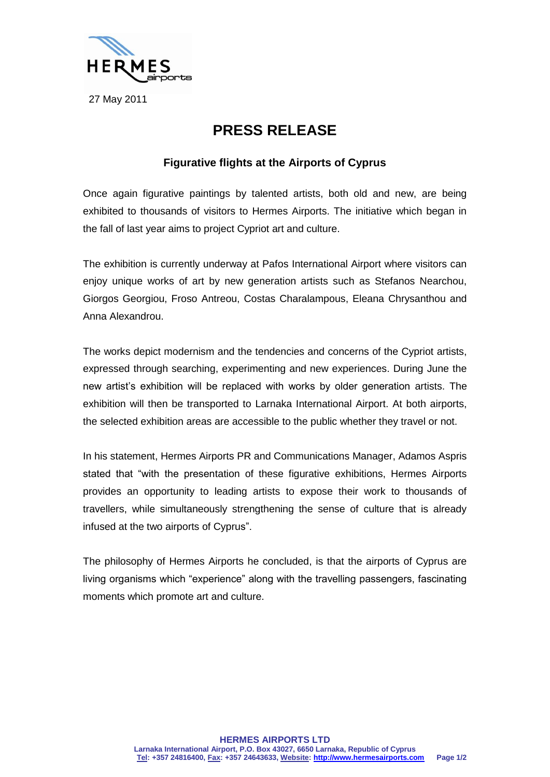

27 May 2011

## **PRESS RELEASE**

## **Figurative flights at the Airports of Cyprus**

Once again figurative paintings by talented artists, both old and new, are being exhibited to thousands of visitors to Hermes Airports. The initiative which began in the fall of last year aims to project Cypriot art and culture.

The exhibition is currently underway at Pafos International Airport where visitors can enjoy unique works of art by new generation artists such as Stefanos Nearchou, Giorgos Georgiou, Froso Antreou, Costas Charalampous, Eleana Chrysanthou and Anna Alexandrou.

The works depict modernism and the tendencies and concerns of the Cypriot artists, expressed through searching, experimenting and new experiences. During June the new artist's exhibition will be replaced with works by older generation artists. The exhibition will then be transported to Larnaka International Airport. At both airports, the selected exhibition areas are accessible to the public whether they travel or not.

In his statement, Hermes Airports PR and Communications Manager, Adamos Aspris stated that "with the presentation of these figurative exhibitions, Hermes Airports provides an opportunity to leading artists to expose their work to thousands of travellers, while simultaneously strengthening the sense of culture that is already infused at the two airports of Cyprus".

The philosophy of Hermes Airports he concluded, is that the airports of Cyprus are living organisms which "experience" along with the travelling passengers, fascinating moments which promote art and culture.